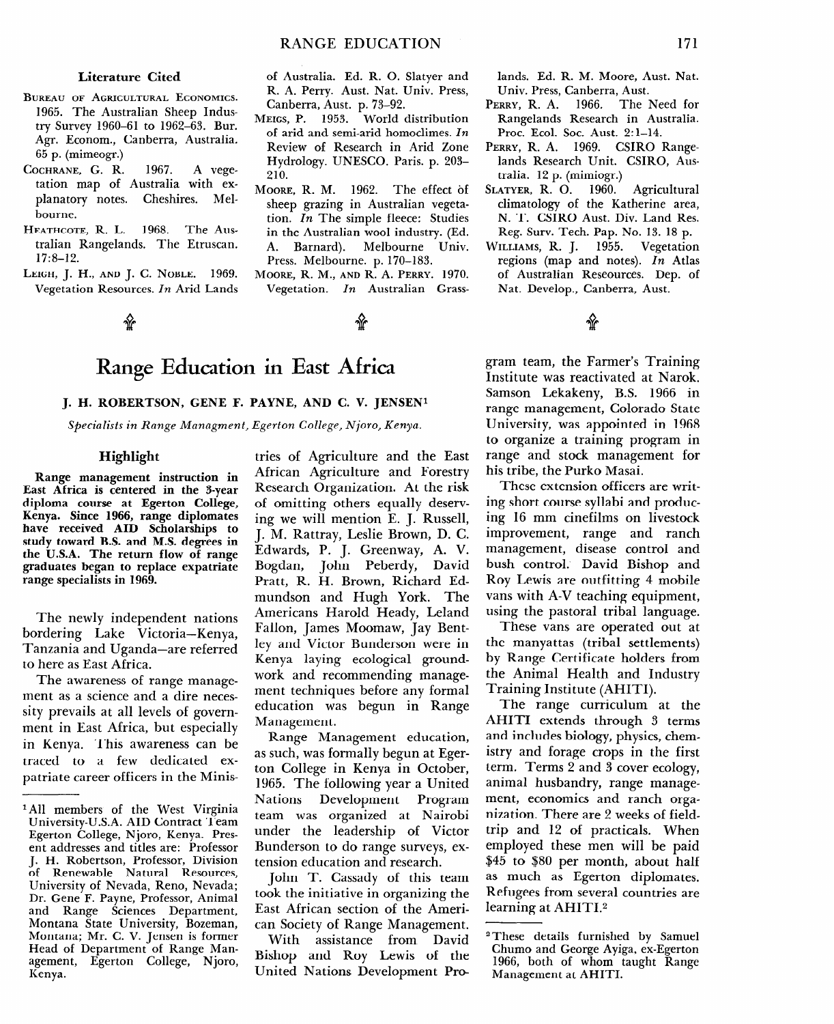## **Range Education in East Africa**

## **J. H. ROBERTSON, GENE F. PAYNE, AND C. V. JENSEN1**

*Specialists in Range Managment, Egerton College, Njoro, Kenya.* 

## **Highlight**

**Range management instruction in East Africa is centered in the 3-year diploma course at Egerton College, Kenya. Since 1966, range diplomates have received AID Scholarships to study toward B.S. and M.S. degrees in the U.S.A. The return flow of range graduates began to replace expatriate range specialists in 1969.** 

The newly independent nations bordering Lake Victoria-Kenya, Tanzania and Uganda-are referred to here as East Africa.

The awareness of range management as a science and a dire necessity prevails at all levels of government in East Africa, but especially in Kenya. This awareness can be traced to a few dedicated expatriate career officers in the Minis-

tries of Agriculture and the East African Agriculture and Forestry Research Organization. At the risk of omitting others equally deserving we will mention E. J. Russell, J. M. Rattray, Leslie Brown, D. C. Edwards, P. J. Greenway, A. V. Bogdan, John Peberdy, David Pratt, R. H. Brown, Richard Edmundson and Hugh York. The Americans Harold Heady, Leland Fallon, James Moomaw, Jay Bentley and Victor Bunderson were in Kenya laying ecological groundwork and recommending management techniques before any formal education was begun in Range Management.

Range Management education, as such, was formally begun at Egerton College in Kenya in October, 1965. The following year a United Nations Development Program team was organized at Nairobi under the leadership of Victor Bunderson to do range surveys, extension education and research.

John T. Cassady of this team took the initiative in organizing the East African section of the American Society of Range Management.

With assistance from David Bishop and Roy Lewis of the United Nations Development Program team, the Farmer's Training Institute was reactivated at Narok. Samson Lekakeny, B.S. 1966 in range management, Colorado State University, was appointed in 1968 to organize a training program in range and stock management for his tribe, the Purko Masai.

These extension officers are writing short course syllabi and producing 16 mm cinefilms on livestock improvement, range and ranch management, disease control and bush control. David Bishop and Roy Lewis are outfitting 4 mobile vans with A-V teaching equipment, using the pastoral tribal language.

These vans are operated out at the manyattas (tribal settlements) by Range Certificate holders from the Animal Health and Industry Training Institute (AHITI).

The range curriculum at the AHITI extends through 3 terms and includes biology, physics, chemistry and forage crops in the first term. Terms 2 and 3 cover ecology, animal husbandry, range management, economics and ranch organization. There are 2 weeks of fieldtrip and 12 of practicals. When employed these men will be paid \$45 to \$80 per month, about half as much as Egerton diplomates. Refugees from several countries are learning at AHITI.2

**IAll members of the West Virginia University-U.S.A. AID Contract Team Egerton College, Njoro, Kenya. Present addresses and titles are: Professor J. H. Robertson, Professor, Division of Renewable Natural Resources, University of Nevada, Reno, Nevada; Dr. Gene F. Payne, Professor, Animal and Range Sciences Department, Montana State University, Bozeman, Montana; Mr. C. V. Jensen is former**  Montana; Mr. C. V. Jensen is former **Head of Department of Range Man**agement, Egerton College, Njoro,<br>Kenya.

**<sup>2</sup>These details furnished by Samuel Chumo and George Ayiga, ex-Egerton 1966, both of whom taught Range Management at AHITI.**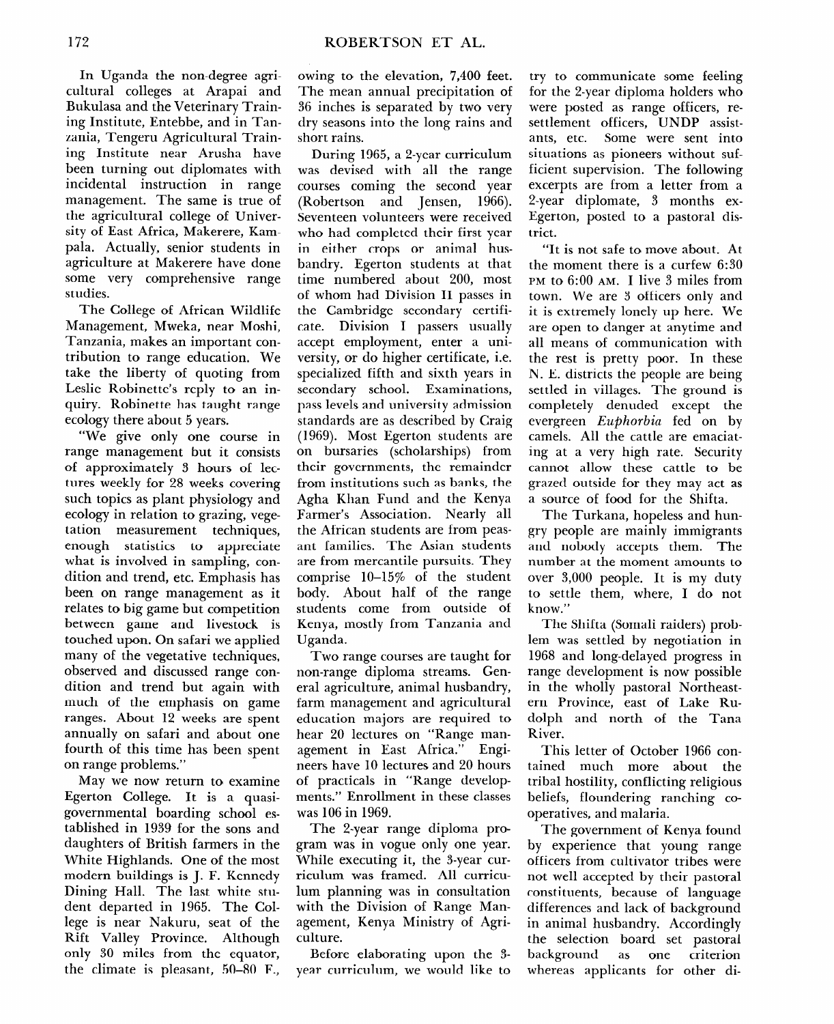In Uganda the non-degree agricultural colleges at Arapai and Bukulasa and the Veterinary Training Institute, Entebbe, and in Tanzania, Tengeru Agricultural Training Institute near Arusha have been turning out diplomates with incidental instruction in range management. The same is true of the agricultural college of University of East Africa, Makerere, Kampala. Actually, senior students in agriculture at Makerere have done some very comprehensive range studies.

The College of African Wildlife Management, Mweka, near Moshi, Tanzania, makes an important contribution to range education. We take the liberty of quoting from Leslie Robinette's reply to an inquiry. Robinette has taught range ecology there about 5 years.

"We give only one course in range management but it consists of approximately 3 hours of lectures weekly for 28 weeks covering such topics as plant physiology and ecology in relation to grazing, vegetation measurement techniques, enough statistics to appreciate what is involved in sampling, condition and trend, etc. Emphasis has been on range management as it relates to big game but competition between game and livestock is touched upon. On safari we applied many of the vegetative techniques, observed and discussed range condition and trend but again with much of the emphasis on game ranges. About 12 weeks are spent annually on safari and about one fourth of this time has been spent on range problems."

May we now return to examine Egerton College. It is a quasigovernmental boarding school established in 1939 for the sons and daughters of British farmers in the White Highlands. One of the most modern buildings is J. F. Kennedy Dining Hall. The last white student departed in 1965. The College is near Nakuru, seat of the Rift Valley Province. Although only 30 miles from the equator, the climate is pleasant, 50-80 F.,

owing to the elevation, 7,400 feet. The mean annual precipitation of 36 inches is separated by two very dry seasons into the long rains and short rains.

During 1965, a 2-year curriculum was devised with all the range courses coming the second year (Robertsoa and Jensen, 1966). Seventeen volunteers were received who had completed their first year in either crops or animal husbandry. Egerton students at that time numbered about 200, most of whom had Division II passes in the Cambridge secondary certificate. Division I passers usually accept employment, enter a university, or do higher certificate, i.e. specialized fifth and sixth years in secondary school. Examinations, pass levels and university admission standards are as described by Craig (1969). Most Egerton students are on bursaries (scholarships) from their governments, the remainder from institutions such as banks, the Agha Khan Fund and the Kenya Farmer's Association. Nearly all the African students are from peasant families. The Asian students are from mercantile pursuits. They comprise  $10-15\%$  of the student body. About half of the range students come from outside of Kenya, mostly from Tanzania and Uganda.

Two range courses are taught for non-range diploma streams. General agriculture, animal husbandry, farm management and agricultural education majors are required to hear 20 lectures on "Range management in East Africa." Engineers have 10 lectures and 20 hours of practicals in "Range developments." Enrollment in these classes was 106 in 1969.

The 2-year range diploma program was in vogue only one year. While executing it, the S-year curriculum was framed. All curriculum planning was in consultation with the Division of Range Management, Kenya Ministry of Agriculture.

Before elaborating upon the 3 year curriculum, we would like to

try to communicate some feeling for the 2-year diploma holders who were posted as range officers, resettlement officers, UNDP assistants, etc. Some were sent into situations as pioneers without sufficient supervision. The following excerpts are from a letter from a 2-year diplomate, 3 months ex-Egerton, posted to a pastoral district.

"It is not safe to move about. At the moment there is a curfew 6:30 PM to 6:00 AM. I live 3 miles from town. We are 3 officers only and it is extremely lonely up here. We are open to danger at anytime and all means of communication with the rest is pretty poor. In these N. E. districts the people are being settled in villages. The ground is completely denuded except the evergreen *Euphorbia* fed on by camels. All the cattle are emaciating at a very high rate. Security cannot allow these cattle to be grazed outside for they may act as a source of food for the Shifta.

The Turkana, hopeless and hungry people are mainly immigrants and nobody accepts them. The number at the moment amounts to over 3,000 people. It is my duty to settle them, where, I do not know."

The Shifta (Somali raiders) problem was settled by negotiation in 1968 and long-delayed progress in range development is now possible in the wholly pastoral Northeastern Province, east of Lake Rudolph and north of the Tana River.

This letter of October 1966 contained much more about the tribal hostility, conflicting religious beliefs, floundering ranching cooperatives, and malaria.

The government of Kenya found by experience that young range officers from cultivator tribes were not well accepted by their pastoral constituents, because of language differences and lack of background in animal husbandry. Accordingly the selection board set pastoral background as one criterion background as one criterion<br>whereas applicants for other di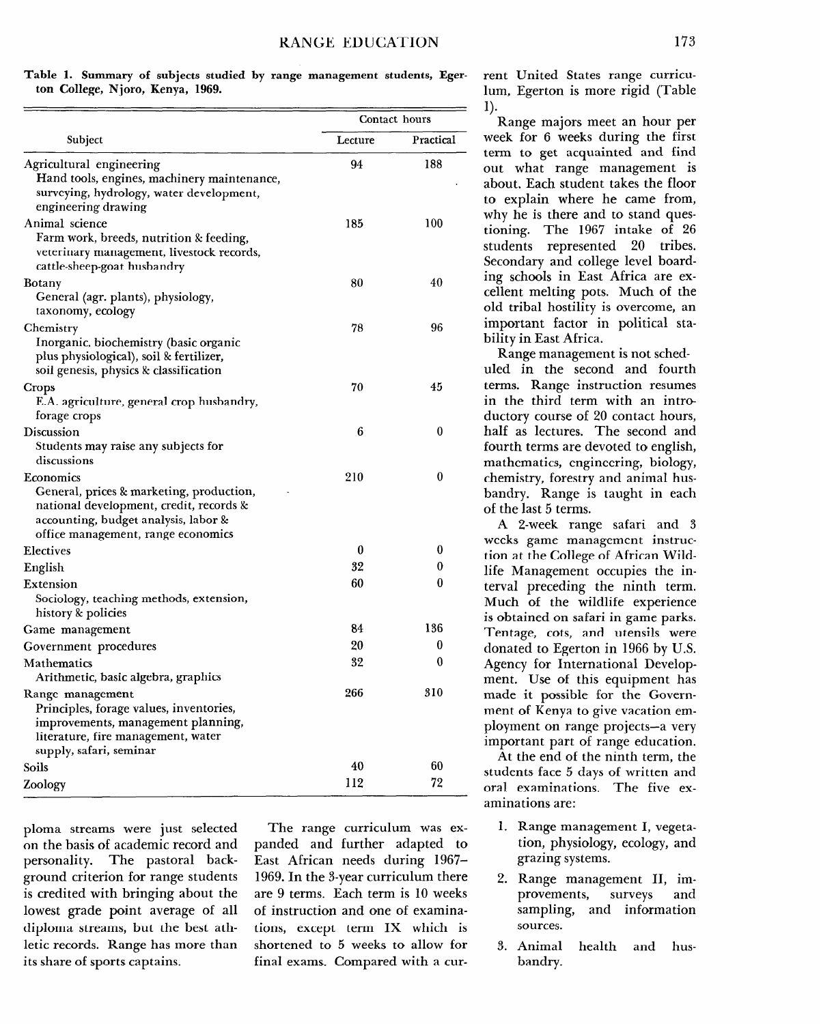**Table 1. Summary of subjects studied by range management students, Egerton College, Njoro, Kenya, 1969.** 

| Subject                                                                                                                                                                        | Contact hours |           |
|--------------------------------------------------------------------------------------------------------------------------------------------------------------------------------|---------------|-----------|
|                                                                                                                                                                                | Lecture       | Practical |
| Agricultural engineering<br>Hand tools, engines, machinery maintenance,<br>surveying, hydrology, water development,<br>engineering drawing                                     | 94            | 188       |
| Animal science<br>Farm work, breeds, nutrition & feeding,<br>veterinary management, livestock records,<br>cattle-sheep-goat husbandry                                          | 185           | 100       |
| <b>Botany</b><br>General (agr. plants), physiology,<br>taxonomy, ecology                                                                                                       | 80            | 40        |
| Chemistry<br>Inorganic, biochemistry (basic organic<br>plus physiological), soil & fertilizer,<br>soil genesis, physics & classification                                       | 78            | 96        |
| <b>Crops</b><br>E.A. agriculture, general crop husbandry,<br>forage crops                                                                                                      | 70            | 45        |
| Discussion<br>Students may raise any subjects for<br>discussions                                                                                                               | 6             | $\bf{0}$  |
| Economics<br>General, prices & marketing, production,<br>national development, credit, records &<br>accounting, budget-analysis, labor &<br>office management, range economics | 210           | $\bf{0}$  |
| <b>Electives</b>                                                                                                                                                               | 0             | 0         |
| English                                                                                                                                                                        | 32            | 0         |
| Extension<br>Sociology, teaching methods, extension,<br>history & policies                                                                                                     | 60            | 0         |
| Game management                                                                                                                                                                | 84            | 136       |
| Government procedures                                                                                                                                                          | 20            | 0         |
| Mathematics<br>Arithmetic, basic algebra, graphics                                                                                                                             | 32            | 0         |
| Range management<br>Principles, forage values, inventories,<br>improvements, management planning,<br>literature, fire management, water<br>supply, safari, seminar             | 266           | 310       |
| Soils                                                                                                                                                                          | 40            | 60        |
| Zoology                                                                                                                                                                        | 112           | 72        |

on the basis of academic record and panded and further adapted to personality. The pastoral back- East African needs during 1967 ground criterion for range students  $1969$ . In the 3-year curriculum there is credited with bringing about the are 9 terms. Each term is 10 weeks lowest grade point average of all of instruction and one of examinadiploma streams, but the best ath- tions, except term IX which is letic records. Range has more than shortened to **5** weeks to allow for

ploma streams were just selected The range curriculum was exits share of sports captains. final exams. Compared with a current United States range curriculum, Egerton is more rigid (Table 1).

Range majors meet an hour per week for 6 weeks during the first term to get acquainted and find out what range management is about. Each student takes the floor to explain where he came from, why he is there and to stand questioning. The 1967 intake of 26 students represented 20 tribes. Secondary and college level boarding schools in East Africa are excellent melting pots. Much of the old tribal hostility is overcome, an important factor in political stability in East Africa.

Range management is not scheduled in the second and fourth terms. Range instruction resumes in the third term with an introductory course of 20 contact hours, half as lectures. The second and fourth terms are devoted to english, mathematics, engineering, biology, chemistry, forestry and animal husbandry. Range is taught in each of the last 5 terms.

A 2-week range safari and 3 weeks game management instruction at the College of African Wildlife Management occupies the interval preceding the ninth term. Much of the wildlife experience is obtained on safari in game parks. Tentage, cots, and utensils were donated to Egerton in 1966 by U.S. Agency for International Development. Use of this equipment has made it possible for the Government of Kenya to give vacation employment on range projects-a very important part of range education.

At the end of the ninth term, the students face 5 days of written and oral examinations. The five examinations are:

- Range management I, vegetation, physiology, ecology, and grazing systems.
- 2. Range management II, improvements, surveys and sampling, and information sources.
- Animal health and husbandry.